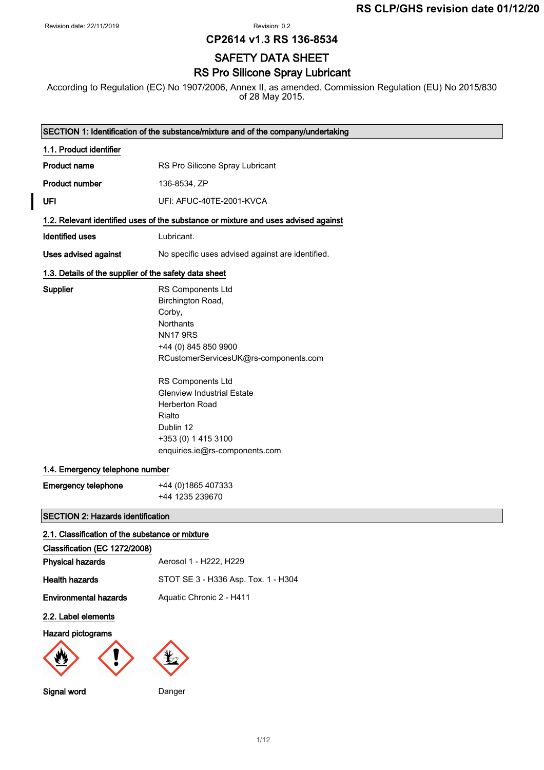$\overline{\phantom{a}}$ 

Revision: 0.2

**CP2614 v1.3 RS 136-8534**

# SAFETY DATA SHEET

## RS Pro Silicone Spray Lubricant

According to Regulation (EC) No 1907/2006, Annex II, as amended. Commission Regulation (EU) No 2015/830 of 28 May 2015.

|                                                       | SECTION 1: Identification of the substance/mixture and of the company/undertaking                                                                                                                                                                                                                                           |
|-------------------------------------------------------|-----------------------------------------------------------------------------------------------------------------------------------------------------------------------------------------------------------------------------------------------------------------------------------------------------------------------------|
| 1.1. Product identifier                               |                                                                                                                                                                                                                                                                                                                             |
| <b>Product name</b>                                   | RS Pro Silicone Spray Lubricant                                                                                                                                                                                                                                                                                             |
| <b>Product number</b>                                 | 136-8534, ZP                                                                                                                                                                                                                                                                                                                |
| UFI                                                   | UFI: AFUC-40TE-2001-KVCA                                                                                                                                                                                                                                                                                                    |
|                                                       | 1.2. Relevant identified uses of the substance or mixture and uses advised against                                                                                                                                                                                                                                          |
| <b>Identified uses</b>                                | Lubricant.                                                                                                                                                                                                                                                                                                                  |
| <b>Uses advised against</b>                           | No specific uses advised against are identified.                                                                                                                                                                                                                                                                            |
| 1.3. Details of the supplier of the safety data sheet |                                                                                                                                                                                                                                                                                                                             |
| Supplier                                              | RS Components Ltd<br>Birchington Road,<br>Corby,<br><b>Northants</b><br><b>NN17 9RS</b><br>+44 (0) 845 850 9900<br>RCustomerServicesUK@rs-components.com<br>RS Components Ltd<br><b>Glenview Industrial Estate</b><br><b>Herberton Road</b><br>Rialto<br>Dublin 12<br>+353 (0) 1 415 3100<br>enquiries.ie@rs-components.com |
| 1.4. Emergency telephone number                       |                                                                                                                                                                                                                                                                                                                             |
| <b>Emergency telephone</b>                            | +44 (0) 1865 407333<br>+44 1235 239670                                                                                                                                                                                                                                                                                      |
| <b>SECTION 2: Hazards identification</b>              |                                                                                                                                                                                                                                                                                                                             |
| 2.1. Classification of the substance or mixture       |                                                                                                                                                                                                                                                                                                                             |
| Classification (EC 1272/2008)                         |                                                                                                                                                                                                                                                                                                                             |
| <b>Physical hazards</b>                               | Aerosol 1 - H222, H229                                                                                                                                                                                                                                                                                                      |
| <b>Health hazards</b>                                 | STOT SE 3 - H336 Asp. Tox. 1 - H304                                                                                                                                                                                                                                                                                         |
| <b>Environmental hazards</b>                          | Aquatic Chronic 2 - H411                                                                                                                                                                                                                                                                                                    |
| 2.2. Label elements                                   |                                                                                                                                                                                                                                                                                                                             |
| Hazard pictograms                                     |                                                                                                                                                                                                                                                                                                                             |
| Signal word                                           | Danger                                                                                                                                                                                                                                                                                                                      |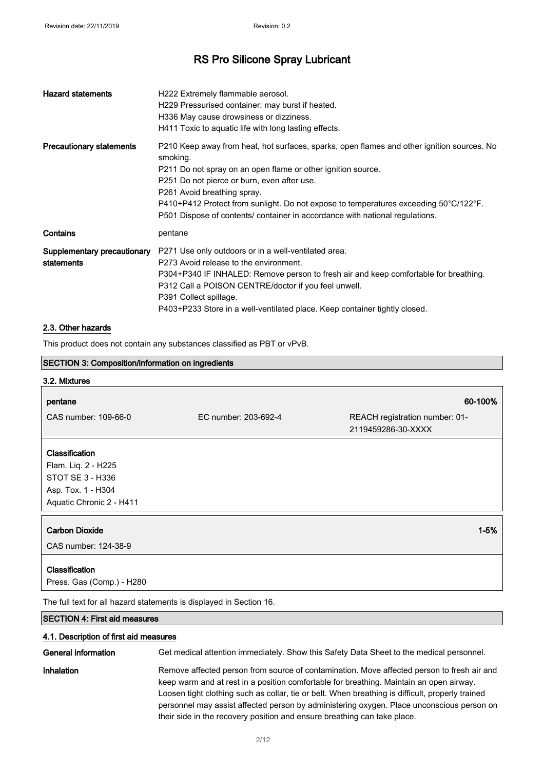| <b>Hazard statements</b>                  | H222 Extremely flammable aerosol.<br>H229 Pressurised container: may burst if heated.<br>H336 May cause drowsiness or dizziness.<br>H411 Toxic to aquatic life with long lasting effects.                                                                                                                                                                                                                                                            |
|-------------------------------------------|------------------------------------------------------------------------------------------------------------------------------------------------------------------------------------------------------------------------------------------------------------------------------------------------------------------------------------------------------------------------------------------------------------------------------------------------------|
| <b>Precautionary statements</b>           | P210 Keep away from heat, hot surfaces, sparks, open flames and other ignition sources. No<br>smoking.<br>P211 Do not spray on an open flame or other ignition source.<br>P251 Do not pierce or burn, even after use.<br>P261 Avoid breathing spray.<br>$P410+P412$ Protect from sunlight. Do not expose to temperatures exceeding 50 $^{\circ}$ C/122 $^{\circ}$ F.<br>P501 Dispose of contents/ container in accordance with national regulations. |
| Contains                                  | pentane                                                                                                                                                                                                                                                                                                                                                                                                                                              |
| Supplementary precautionary<br>statements | P271 Use only outdoors or in a well-ventilated area.<br>P273 Avoid release to the environment.<br>P304+P340 IF INHALED: Remove person to fresh air and keep comfortable for breathing.<br>P312 Call a POISON CENTRE/doctor if you feel unwell.<br>P391 Collect spillage.<br>P403+P233 Store in a well-ventilated place. Keep container tightly closed.                                                                                               |

### 2.3. Other hazards

This product does not contain any substances classified as PBT or vPvB.

| <b>SECTION 3: Composition/information on ingredients</b>            |                      |                                                      |
|---------------------------------------------------------------------|----------------------|------------------------------------------------------|
| 3.2. Mixtures                                                       |                      |                                                      |
| pentane                                                             |                      | 60-100%                                              |
| CAS number: 109-66-0                                                | EC number: 203-692-4 | REACH registration number: 01-<br>2119459286-30-XXXX |
| Classification                                                      |                      |                                                      |
| Flam. Liq. 2 - H225                                                 |                      |                                                      |
| STOT SE 3 - H336                                                    |                      |                                                      |
| Asp. Tox. 1 - H304                                                  |                      |                                                      |
| Aquatic Chronic 2 - H411                                            |                      |                                                      |
| <b>Carbon Dioxide</b>                                               |                      | $1 - 5%$                                             |
| CAS number: 124-38-9                                                |                      |                                                      |
| Classification                                                      |                      |                                                      |
| Press. Gas (Comp.) - H280                                           |                      |                                                      |
| The full text for all hazard statements is displayed in Section 16. |                      |                                                      |
| <b>SECTION 4: First aid measures</b>                                |                      |                                                      |

#### 4.1. Description of first aid measures

| General information | Get medical attention immediately. Show this Safety Data Sheet to the medical personnel.                                                                                                                                                                                                                                                                                                                                                                           |
|---------------------|--------------------------------------------------------------------------------------------------------------------------------------------------------------------------------------------------------------------------------------------------------------------------------------------------------------------------------------------------------------------------------------------------------------------------------------------------------------------|
| Inhalation          | Remove affected person from source of contamination. Move affected person to fresh air and<br>keep warm and at rest in a position comfortable for breathing. Maintain an open airway.<br>Loosen tight clothing such as collar, tie or belt. When breathing is difficult, properly trained<br>personnel may assist affected person by administering oxygen. Place unconscious person on<br>their side in the recovery position and ensure breathing can take place. |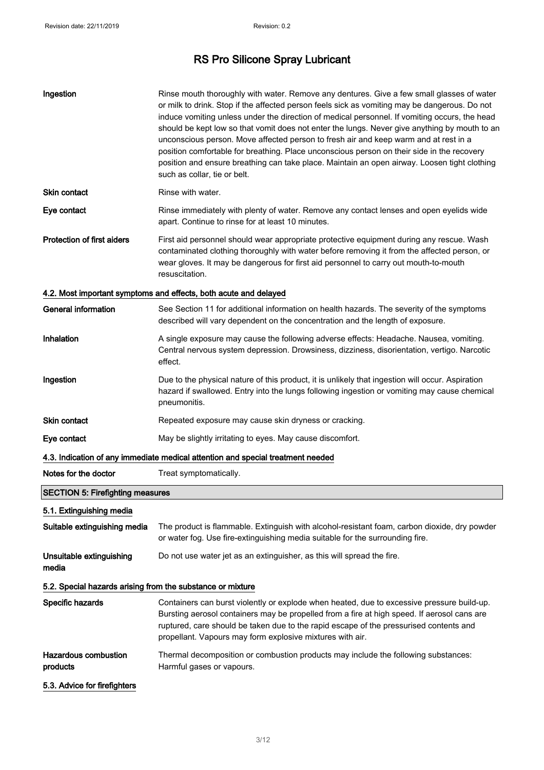| Ingestion                                                  | Rinse mouth thoroughly with water. Remove any dentures. Give a few small glasses of water<br>or milk to drink. Stop if the affected person feels sick as vomiting may be dangerous. Do not<br>induce vomiting unless under the direction of medical personnel. If vomiting occurs, the head<br>should be kept low so that vomit does not enter the lungs. Never give anything by mouth to an<br>unconscious person. Move affected person to fresh air and keep warm and at rest in a<br>position comfortable for breathing. Place unconscious person on their side in the recovery<br>position and ensure breathing can take place. Maintain an open airway. Loosen tight clothing<br>such as collar, tie or belt. |
|------------------------------------------------------------|--------------------------------------------------------------------------------------------------------------------------------------------------------------------------------------------------------------------------------------------------------------------------------------------------------------------------------------------------------------------------------------------------------------------------------------------------------------------------------------------------------------------------------------------------------------------------------------------------------------------------------------------------------------------------------------------------------------------|
| Skin contact                                               | Rinse with water.                                                                                                                                                                                                                                                                                                                                                                                                                                                                                                                                                                                                                                                                                                  |
| Eye contact                                                | Rinse immediately with plenty of water. Remove any contact lenses and open eyelids wide<br>apart. Continue to rinse for at least 10 minutes.                                                                                                                                                                                                                                                                                                                                                                                                                                                                                                                                                                       |
| <b>Protection of first aiders</b>                          | First aid personnel should wear appropriate protective equipment during any rescue. Wash<br>contaminated clothing thoroughly with water before removing it from the affected person, or<br>wear gloves. It may be dangerous for first aid personnel to carry out mouth-to-mouth<br>resuscitation.                                                                                                                                                                                                                                                                                                                                                                                                                  |
|                                                            | 4.2. Most important symptoms and effects, both acute and delayed                                                                                                                                                                                                                                                                                                                                                                                                                                                                                                                                                                                                                                                   |
| <b>General information</b>                                 | See Section 11 for additional information on health hazards. The severity of the symptoms<br>described will vary dependent on the concentration and the length of exposure.                                                                                                                                                                                                                                                                                                                                                                                                                                                                                                                                        |
| Inhalation                                                 | A single exposure may cause the following adverse effects: Headache. Nausea, vomiting.<br>Central nervous system depression. Drowsiness, dizziness, disorientation, vertigo. Narcotic<br>effect.                                                                                                                                                                                                                                                                                                                                                                                                                                                                                                                   |
| Ingestion                                                  | Due to the physical nature of this product, it is unlikely that ingestion will occur. Aspiration<br>hazard if swallowed. Entry into the lungs following ingestion or vomiting may cause chemical<br>pneumonitis.                                                                                                                                                                                                                                                                                                                                                                                                                                                                                                   |
| Skin contact                                               | Repeated exposure may cause skin dryness or cracking.                                                                                                                                                                                                                                                                                                                                                                                                                                                                                                                                                                                                                                                              |
| Eye contact                                                | May be slightly irritating to eyes. May cause discomfort.                                                                                                                                                                                                                                                                                                                                                                                                                                                                                                                                                                                                                                                          |
|                                                            | 4.3. Indication of any immediate medical attention and special treatment needed                                                                                                                                                                                                                                                                                                                                                                                                                                                                                                                                                                                                                                    |
| Notes for the doctor                                       | Treat symptomatically.                                                                                                                                                                                                                                                                                                                                                                                                                                                                                                                                                                                                                                                                                             |
| <b>SECTION 5: Firefighting measures</b>                    |                                                                                                                                                                                                                                                                                                                                                                                                                                                                                                                                                                                                                                                                                                                    |
| 5.1. Extinguishing media                                   |                                                                                                                                                                                                                                                                                                                                                                                                                                                                                                                                                                                                                                                                                                                    |
| Suitable extinguishing media                               | The product is flammable. Extinguish with alcohol-resistant foam, carbon dioxide, dry powder<br>or water fog. Use fire-extinguishing media suitable for the surrounding fire.                                                                                                                                                                                                                                                                                                                                                                                                                                                                                                                                      |
| Unsuitable extinguishing<br>media                          | Do not use water jet as an extinguisher, as this will spread the fire.                                                                                                                                                                                                                                                                                                                                                                                                                                                                                                                                                                                                                                             |
| 5.2. Special hazards arising from the substance or mixture |                                                                                                                                                                                                                                                                                                                                                                                                                                                                                                                                                                                                                                                                                                                    |
| Specific hazards                                           | Containers can burst violently or explode when heated, due to excessive pressure build-up.<br>Bursting aerosol containers may be propelled from a fire at high speed. If aerosol cans are<br>ruptured, care should be taken due to the rapid escape of the pressurised contents and<br>propellant. Vapours may form explosive mixtures with air.                                                                                                                                                                                                                                                                                                                                                                   |
| <b>Hazardous combustion</b><br>products                    | Thermal decomposition or combustion products may include the following substances:<br>Harmful gases or vapours.                                                                                                                                                                                                                                                                                                                                                                                                                                                                                                                                                                                                    |
| 5.3. Advice for firefighters                               |                                                                                                                                                                                                                                                                                                                                                                                                                                                                                                                                                                                                                                                                                                                    |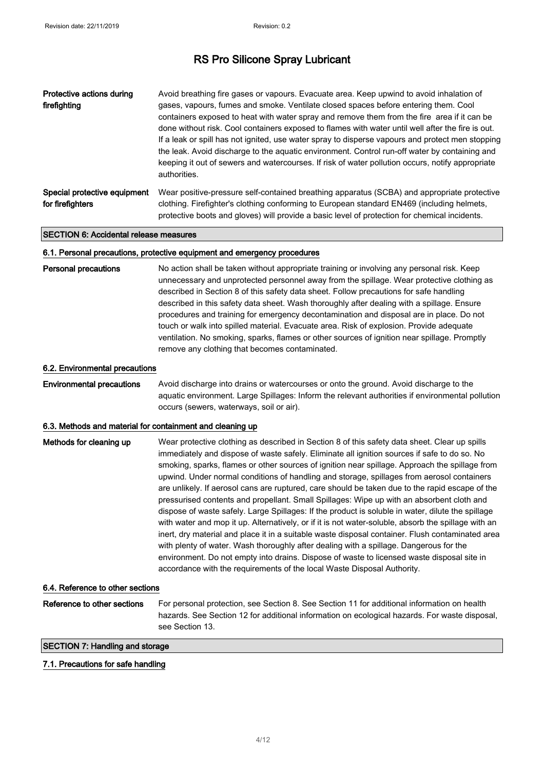| Protective actions during<br>firefighting        | Avoid breathing fire gases or vapours. Evacuate area. Keep upwind to avoid inhalation of<br>gases, vapours, fumes and smoke. Ventilate closed spaces before entering them. Cool<br>containers exposed to heat with water spray and remove them from the fire area if it can be<br>done without risk. Cool containers exposed to flames with water until well after the fire is out.<br>If a leak or spill has not ignited, use water spray to disperse vapours and protect men stopping<br>the leak. Avoid discharge to the aquatic environment. Control run-off water by containing and<br>keeping it out of sewers and watercourses. If risk of water pollution occurs, notify appropriate<br>authorities. |
|--------------------------------------------------|--------------------------------------------------------------------------------------------------------------------------------------------------------------------------------------------------------------------------------------------------------------------------------------------------------------------------------------------------------------------------------------------------------------------------------------------------------------------------------------------------------------------------------------------------------------------------------------------------------------------------------------------------------------------------------------------------------------|
| Special protective equipment<br>for firefighters | Wear positive-pressure self-contained breathing apparatus (SCBA) and appropriate protective<br>clothing. Firefighter's clothing conforming to European standard EN469 (including helmets,<br>protective boots and gloves) will provide a basic level of protection for chemical incidents.                                                                                                                                                                                                                                                                                                                                                                                                                   |

#### SECTION 6: Accidental release measures

#### 6.1. Personal precautions, protective equipment and emergency procedures

| <b>Personal precautions</b> | No action shall be taken without appropriate training or involving any personal risk. Keep   |
|-----------------------------|----------------------------------------------------------------------------------------------|
|                             | unnecessary and unprotected personnel away from the spillage. Wear protective clothing as    |
|                             | described in Section 8 of this safety data sheet. Follow precautions for safe handling       |
|                             | described in this safety data sheet. Wash thoroughly after dealing with a spillage. Ensure   |
|                             | procedures and training for emergency decontamination and disposal are in place. Do not      |
|                             | touch or walk into spilled material. Evacuate area. Risk of explosion. Provide adequate      |
|                             | ventilation. No smoking, sparks, flames or other sources of ignition near spillage. Promptly |
|                             | remove any clothing that becomes contaminated.                                               |

#### 6.2. Environmental precautions

Environmental precautions Avoid discharge into drains or watercourses or onto the ground. Avoid discharge to the aquatic environment. Large Spillages: Inform the relevant authorities if environmental pollution occurs (sewers, waterways, soil or air).

#### 6.3. Methods and material for containment and cleaning up

| Methods for cleaning up          | Wear protective clothing as described in Section 8 of this safety data sheet. Clear up spills<br>immediately and dispose of waste safely. Eliminate all ignition sources if safe to do so. No<br>smoking, sparks, flames or other sources of ignition near spillage. Approach the spillage from<br>upwind. Under normal conditions of handling and storage, spillages from aerosol containers<br>are unlikely. If aerosol cans are ruptured, care should be taken due to the rapid escape of the<br>pressurised contents and propellant. Small Spillages: Wipe up with an absorbent cloth and<br>dispose of waste safely. Large Spillages: If the product is soluble in water, dilute the spillage<br>with water and mop it up. Alternatively, or if it is not water-soluble, absorb the spillage with an<br>inert, dry material and place it in a suitable waste disposal container. Flush contaminated area<br>with plenty of water. Wash thoroughly after dealing with a spillage. Dangerous for the<br>environment. Do not empty into drains. Dispose of waste to licensed waste disposal site in<br>accordance with the requirements of the local Waste Disposal Authority. |
|----------------------------------|----------------------------------------------------------------------------------------------------------------------------------------------------------------------------------------------------------------------------------------------------------------------------------------------------------------------------------------------------------------------------------------------------------------------------------------------------------------------------------------------------------------------------------------------------------------------------------------------------------------------------------------------------------------------------------------------------------------------------------------------------------------------------------------------------------------------------------------------------------------------------------------------------------------------------------------------------------------------------------------------------------------------------------------------------------------------------------------------------------------------------------------------------------------------------------|
| 6.4. Reference to other sections |                                                                                                                                                                                                                                                                                                                                                                                                                                                                                                                                                                                                                                                                                                                                                                                                                                                                                                                                                                                                                                                                                                                                                                                  |

| Reference to other sections | For personal protection, see Section 8. See Section 11 for additional information on health   |
|-----------------------------|-----------------------------------------------------------------------------------------------|
|                             | hazards. See Section 12 for additional information on ecological hazards. For waste disposal, |
|                             | see Section 13.                                                                               |

SECTION 7: Handling and storage

#### 7.1. Precautions for safe handling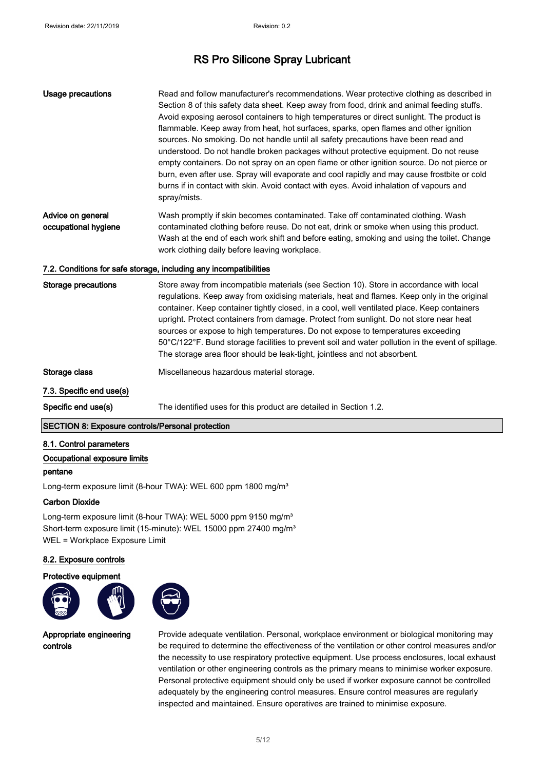| Usage precautions                         | Read and follow manufacturer's recommendations. Wear protective clothing as described in<br>Section 8 of this safety data sheet. Keep away from food, drink and animal feeding stuffs.<br>Avoid exposing aerosol containers to high temperatures or direct sunlight. The product is<br>flammable. Keep away from heat, hot surfaces, sparks, open flames and other ignition<br>sources. No smoking. Do not handle until all safety precautions have been read and<br>understood. Do not handle broken packages without protective equipment. Do not reuse<br>empty containers. Do not spray on an open flame or other ignition source. Do not pierce or<br>burn, even after use. Spray will evaporate and cool rapidly and may cause frostbite or cold<br>burns if in contact with skin. Avoid contact with eyes. Avoid inhalation of vapours and<br>spray/mists. |
|-------------------------------------------|-------------------------------------------------------------------------------------------------------------------------------------------------------------------------------------------------------------------------------------------------------------------------------------------------------------------------------------------------------------------------------------------------------------------------------------------------------------------------------------------------------------------------------------------------------------------------------------------------------------------------------------------------------------------------------------------------------------------------------------------------------------------------------------------------------------------------------------------------------------------|
| Advice on general<br>occupational hygiene | Wash promptly if skin becomes contaminated. Take off contaminated clothing. Wash<br>contaminated clothing before reuse. Do not eat, drink or smoke when using this product.<br>Wash at the end of each work shift and before eating, smoking and using the toilet. Change<br>work clothing daily before leaving workplace.                                                                                                                                                                                                                                                                                                                                                                                                                                                                                                                                        |
|                                           | 7.2. Conditions for safe storage, including any incompatibilities                                                                                                                                                                                                                                                                                                                                                                                                                                                                                                                                                                                                                                                                                                                                                                                                 |
| <b>Storage precautions</b>                | Store away from incompatible materials (see Section 10). Store in accordance with local<br>regulations. Keep away from oxidising materials, heat and flames. Keep only in the original<br>container. Keep container tightly closed, in a cool, well ventilated place. Keep containers<br>upright. Protect containers from damage. Protect from sunlight. Do not store near heat<br>sources or expose to high temperatures. Do not expose to temperatures exceeding<br>50°C/122°F. Bund storage facilities to prevent soil and water pollution in the event of spillage.<br>The storage area floor should be leak-tight, jointless and not absorbent.                                                                                                                                                                                                              |
| Storage class                             | Miscellaneous hazardous material storage.                                                                                                                                                                                                                                                                                                                                                                                                                                                                                                                                                                                                                                                                                                                                                                                                                         |
| 7.3. Specific end use(s)                  |                                                                                                                                                                                                                                                                                                                                                                                                                                                                                                                                                                                                                                                                                                                                                                                                                                                                   |
| Specific end use(s)                       | The identified uses for this product are detailed in Section 1.2.                                                                                                                                                                                                                                                                                                                                                                                                                                                                                                                                                                                                                                                                                                                                                                                                 |

#### SECTION 8: Exposure controls/Personal protection

#### 8.1. Control parameters

#### Occupational exposure limits

#### pentane

Long-term exposure limit (8-hour TWA): WEL 600 ppm 1800 mg/m<sup>3</sup>

#### Carbon Dioxide

Long-term exposure limit (8-hour TWA): WEL 5000 ppm 9150 mg/m<sup>3</sup> Short-term exposure limit (15-minute): WEL 15000 ppm 27400 mg/m<sup>3</sup> WEL = Workplace Exposure Limit

#### 8.2. Exposure controls

#### Protective equipment





Appropriate engineering controls

Provide adequate ventilation. Personal, workplace environment or biological monitoring may be required to determine the effectiveness of the ventilation or other control measures and/or the necessity to use respiratory protective equipment. Use process enclosures, local exhaust ventilation or other engineering controls as the primary means to minimise worker exposure. Personal protective equipment should only be used if worker exposure cannot be controlled adequately by the engineering control measures. Ensure control measures are regularly inspected and maintained. Ensure operatives are trained to minimise exposure.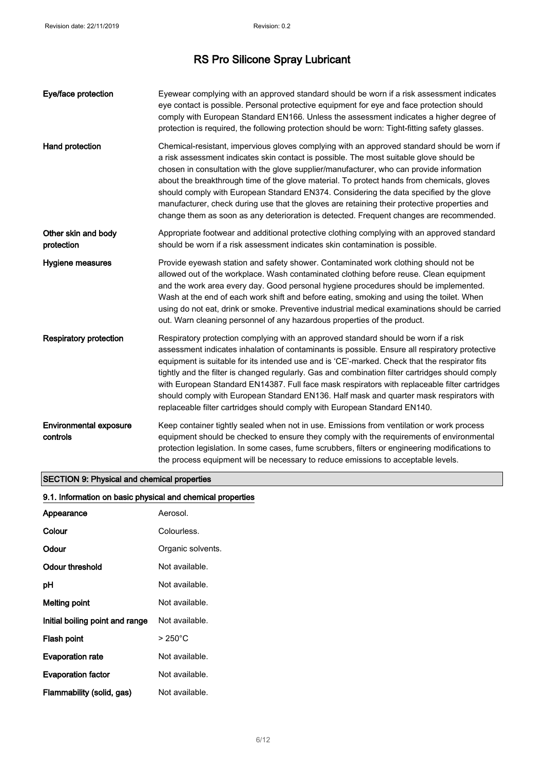| Eye/face protection                       | Eyewear complying with an approved standard should be worn if a risk assessment indicates<br>eye contact is possible. Personal protective equipment for eye and face protection should<br>comply with European Standard EN166. Unless the assessment indicates a higher degree of<br>protection is required, the following protection should be worn: Tight-fitting safety glasses.                                                                                                                                                                                                                                                                                    |
|-------------------------------------------|------------------------------------------------------------------------------------------------------------------------------------------------------------------------------------------------------------------------------------------------------------------------------------------------------------------------------------------------------------------------------------------------------------------------------------------------------------------------------------------------------------------------------------------------------------------------------------------------------------------------------------------------------------------------|
| Hand protection                           | Chemical-resistant, impervious gloves complying with an approved standard should be worn if<br>a risk assessment indicates skin contact is possible. The most suitable glove should be<br>chosen in consultation with the glove supplier/manufacturer, who can provide information<br>about the breakthrough time of the glove material. To protect hands from chemicals, gloves<br>should comply with European Standard EN374. Considering the data specified by the glove<br>manufacturer, check during use that the gloves are retaining their protective properties and<br>change them as soon as any deterioration is detected. Frequent changes are recommended. |
| Other skin and body<br>protection         | Appropriate footwear and additional protective clothing complying with an approved standard<br>should be worn if a risk assessment indicates skin contamination is possible.                                                                                                                                                                                                                                                                                                                                                                                                                                                                                           |
| <b>Hygiene measures</b>                   | Provide eyewash station and safety shower. Contaminated work clothing should not be<br>allowed out of the workplace. Wash contaminated clothing before reuse. Clean equipment<br>and the work area every day. Good personal hygiene procedures should be implemented.<br>Wash at the end of each work shift and before eating, smoking and using the toilet. When<br>using do not eat, drink or smoke. Preventive industrial medical examinations should be carried<br>out. Warn cleaning personnel of any hazardous properties of the product.                                                                                                                        |
| <b>Respiratory protection</b>             | Respiratory protection complying with an approved standard should be worn if a risk<br>assessment indicates inhalation of contaminants is possible. Ensure all respiratory protective<br>equipment is suitable for its intended use and is 'CE'-marked. Check that the respirator fits<br>tightly and the filter is changed regularly. Gas and combination filter cartridges should comply<br>with European Standard EN14387. Full face mask respirators with replaceable filter cartridges<br>should comply with European Standard EN136. Half mask and quarter mask respirators with<br>replaceable filter cartridges should comply with European Standard EN140.    |
| <b>Environmental exposure</b><br>controls | Keep container tightly sealed when not in use. Emissions from ventilation or work process<br>equipment should be checked to ensure they comply with the requirements of environmental<br>protection legislation. In some cases, fume scrubbers, filters or engineering modifications to<br>the process equipment will be necessary to reduce emissions to acceptable levels.                                                                                                                                                                                                                                                                                           |

### SECTION 9: Physical and chemical properties

| 9.1. Information on basic physical and chemical properties |                   |
|------------------------------------------------------------|-------------------|
| Appearance                                                 | Aerosol.          |
| Colour                                                     | Colourless.       |
| Odour                                                      | Organic solvents. |
| <b>Odour threshold</b>                                     | Not available.    |
| pH                                                         | Not available.    |
| <b>Melting point</b>                                       | Not available.    |
| Initial boiling point and range                            | Not available.    |
| Flash point                                                | $>250^{\circ}$ C  |
| <b>Evaporation rate</b>                                    | Not available.    |
| <b>Evaporation factor</b>                                  | Not available.    |
| Flammability (solid, gas)                                  | Not available.    |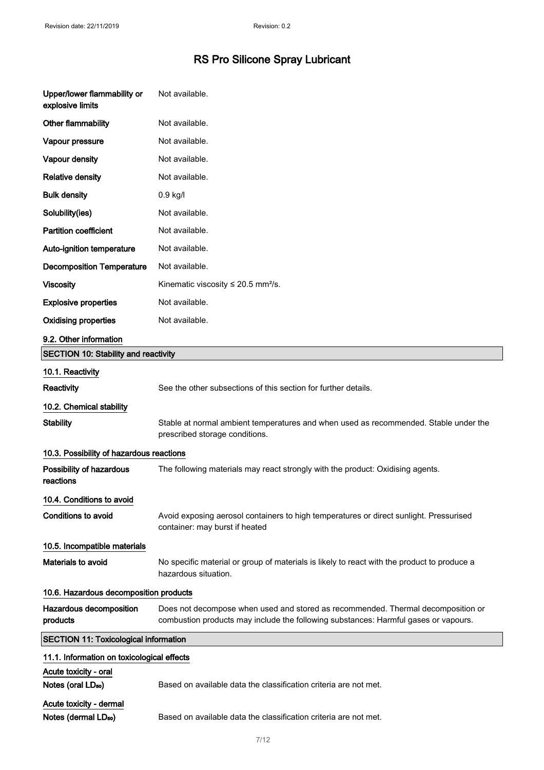| Upper/lower flammability or<br>explosive limits             | Not available.                                                                                                                                                          |  |
|-------------------------------------------------------------|-------------------------------------------------------------------------------------------------------------------------------------------------------------------------|--|
| Other flammability                                          | Not available.                                                                                                                                                          |  |
| Vapour pressure                                             | Not available.                                                                                                                                                          |  |
| Vapour density                                              | Not available.                                                                                                                                                          |  |
| <b>Relative density</b>                                     | Not available.                                                                                                                                                          |  |
| <b>Bulk density</b>                                         | 0.9 kg/l                                                                                                                                                                |  |
| Solubility(ies)                                             | Not available.                                                                                                                                                          |  |
| <b>Partition coefficient</b>                                | Not available.                                                                                                                                                          |  |
| Auto-ignition temperature                                   | Not available.                                                                                                                                                          |  |
| <b>Decomposition Temperature</b>                            | Not available.                                                                                                                                                          |  |
| <b>Viscosity</b>                                            | Kinematic viscosity $\leq 20.5$ mm <sup>2</sup> /s.                                                                                                                     |  |
| <b>Explosive properties</b>                                 | Not available.                                                                                                                                                          |  |
| <b>Oxidising properties</b>                                 | Not available.                                                                                                                                                          |  |
| 9.2. Other information                                      |                                                                                                                                                                         |  |
| <b>SECTION 10: Stability and reactivity</b>                 |                                                                                                                                                                         |  |
| 10.1. Reactivity                                            |                                                                                                                                                                         |  |
| Reactivity                                                  | See the other subsections of this section for further details.                                                                                                          |  |
| 10.2. Chemical stability                                    |                                                                                                                                                                         |  |
| <b>Stability</b>                                            | Stable at normal ambient temperatures and when used as recommended. Stable under the<br>prescribed storage conditions.                                                  |  |
| 10.3. Possibility of hazardous reactions                    |                                                                                                                                                                         |  |
| Possibility of hazardous<br>reactions                       | The following materials may react strongly with the product: Oxidising agents.                                                                                          |  |
| 10.4. Conditions to avoid                                   |                                                                                                                                                                         |  |
| <b>Conditions to avoid</b>                                  | Avoid exposing aerosol containers to high temperatures or direct sunlight. Pressurised<br>container: may burst if heated                                                |  |
| 10.5. Incompatible materials                                |                                                                                                                                                                         |  |
| Materials to avoid                                          | No specific material or group of materials is likely to react with the product to produce a<br>hazardous situation.                                                     |  |
| 10.6. Hazardous decomposition products                      |                                                                                                                                                                         |  |
| Hazardous decomposition<br>products                         | Does not decompose when used and stored as recommended. Thermal decomposition or<br>combustion products may include the following substances: Harmful gases or vapours. |  |
| <b>SECTION 11: Toxicological information</b>                |                                                                                                                                                                         |  |
| 11.1. Information on toxicological effects                  |                                                                                                                                                                         |  |
| Acute toxicity - oral                                       |                                                                                                                                                                         |  |
| Notes (oral LD <sub>50</sub> )                              | Based on available data the classification criteria are not met.                                                                                                        |  |
| Acute toxicity - dermal<br>Notes (dermal LD <sub>50</sub> ) | Based on available data the classification criteria are not met.                                                                                                        |  |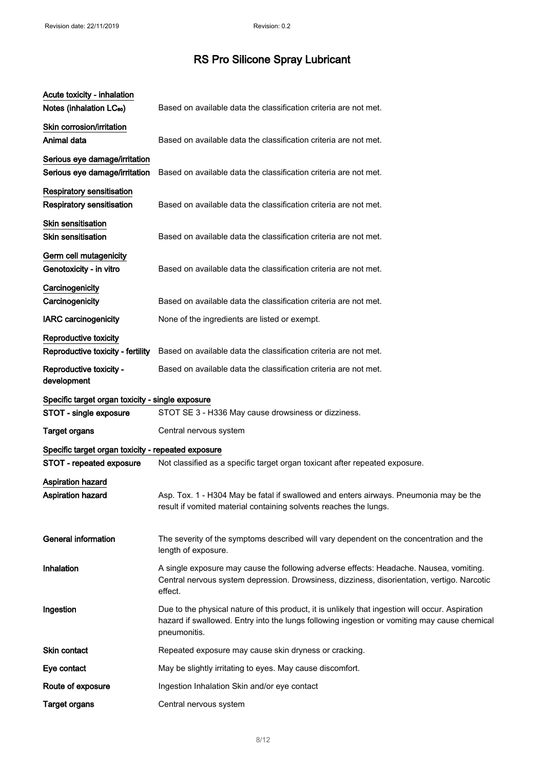| Acute toxicity - inhalation<br>Notes (inhalation LC <sub>50</sub> ) | Based on available data the classification criteria are not met.                                                                                                                                                 |
|---------------------------------------------------------------------|------------------------------------------------------------------------------------------------------------------------------------------------------------------------------------------------------------------|
| Skin corrosion/irritation<br>Animal data                            | Based on available data the classification criteria are not met.                                                                                                                                                 |
| Serious eye damage/irritation<br>Serious eye damage/irritation      | Based on available data the classification criteria are not met.                                                                                                                                                 |
| <b>Respiratory sensitisation</b><br>Respiratory sensitisation       | Based on available data the classification criteria are not met.                                                                                                                                                 |
| Skin sensitisation<br><b>Skin sensitisation</b>                     | Based on available data the classification criteria are not met.                                                                                                                                                 |
| Germ cell mutagenicity<br>Genotoxicity - in vitro                   | Based on available data the classification criteria are not met.                                                                                                                                                 |
| Carcinogenicity<br>Carcinogenicity                                  | Based on available data the classification criteria are not met.                                                                                                                                                 |
| <b>IARC</b> carcinogenicity                                         | None of the ingredients are listed or exempt.                                                                                                                                                                    |
| Reproductive toxicity<br>Reproductive toxicity - fertility          | Based on available data the classification criteria are not met.                                                                                                                                                 |
| Reproductive toxicity -<br>development                              | Based on available data the classification criteria are not met.                                                                                                                                                 |
| Specific target organ toxicity - single exposure                    |                                                                                                                                                                                                                  |
| STOT - single exposure                                              | STOT SE 3 - H336 May cause drowsiness or dizziness.                                                                                                                                                              |
| <b>Target organs</b>                                                | Central nervous system                                                                                                                                                                                           |
| Specific target organ toxicity - repeated exposure                  |                                                                                                                                                                                                                  |
| STOT - repeated exposure                                            | Not classified as a specific target organ toxicant after repeated exposure.                                                                                                                                      |
| Aspiration hazard<br><b>Aspiration hazard</b>                       | Asp. Tox. 1 - H304 May be fatal if swallowed and enters airways. Pneumonia may be the<br>result if vomited material containing solvents reaches the lungs.                                                       |
| <b>General information</b>                                          | The severity of the symptoms described will vary dependent on the concentration and the<br>length of exposure.                                                                                                   |
| Inhalation                                                          | A single exposure may cause the following adverse effects: Headache. Nausea, vomiting.<br>Central nervous system depression. Drowsiness, dizziness, disorientation, vertigo. Narcotic<br>effect.                 |
| Ingestion                                                           | Due to the physical nature of this product, it is unlikely that ingestion will occur. Aspiration<br>hazard if swallowed. Entry into the lungs following ingestion or vomiting may cause chemical<br>pneumonitis. |
| Skin contact                                                        | Repeated exposure may cause skin dryness or cracking.                                                                                                                                                            |
| Eye contact                                                         | May be slightly irritating to eyes. May cause discomfort.                                                                                                                                                        |
| Route of exposure                                                   | Ingestion Inhalation Skin and/or eye contact                                                                                                                                                                     |
| <b>Target organs</b>                                                | Central nervous system                                                                                                                                                                                           |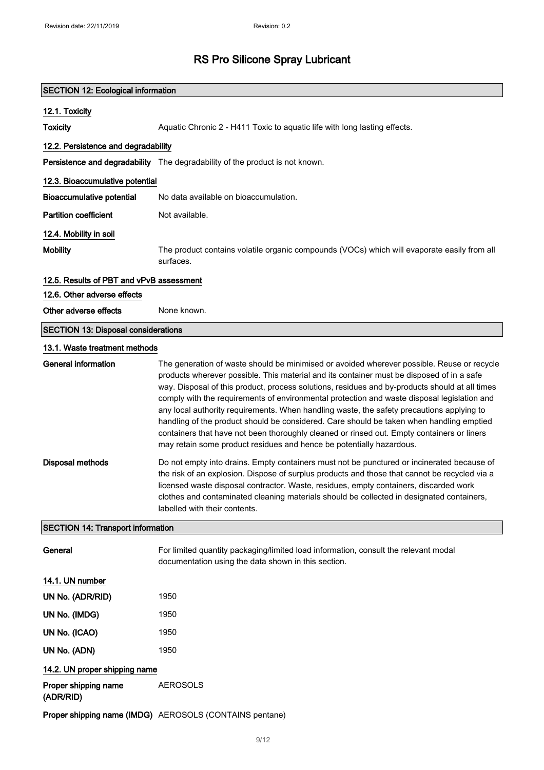| <b>SECTION 12: Ecological information</b>  |                                                                                                                                                                                                                                                                                                                                                                                                                                                                                                                                                                                                                                                                                                                                                         |  |  |
|--------------------------------------------|---------------------------------------------------------------------------------------------------------------------------------------------------------------------------------------------------------------------------------------------------------------------------------------------------------------------------------------------------------------------------------------------------------------------------------------------------------------------------------------------------------------------------------------------------------------------------------------------------------------------------------------------------------------------------------------------------------------------------------------------------------|--|--|
| 12.1. Toxicity                             |                                                                                                                                                                                                                                                                                                                                                                                                                                                                                                                                                                                                                                                                                                                                                         |  |  |
| <b>Toxicity</b>                            | Aquatic Chronic 2 - H411 Toxic to aquatic life with long lasting effects.                                                                                                                                                                                                                                                                                                                                                                                                                                                                                                                                                                                                                                                                               |  |  |
| 12.2. Persistence and degradability        |                                                                                                                                                                                                                                                                                                                                                                                                                                                                                                                                                                                                                                                                                                                                                         |  |  |
|                                            | Persistence and degradability The degradability of the product is not known.                                                                                                                                                                                                                                                                                                                                                                                                                                                                                                                                                                                                                                                                            |  |  |
| 12.3. Bioaccumulative potential            |                                                                                                                                                                                                                                                                                                                                                                                                                                                                                                                                                                                                                                                                                                                                                         |  |  |
| <b>Bioaccumulative potential</b>           | No data available on bioaccumulation.                                                                                                                                                                                                                                                                                                                                                                                                                                                                                                                                                                                                                                                                                                                   |  |  |
| <b>Partition coefficient</b>               | Not available.                                                                                                                                                                                                                                                                                                                                                                                                                                                                                                                                                                                                                                                                                                                                          |  |  |
| 12.4. Mobility in soil                     |                                                                                                                                                                                                                                                                                                                                                                                                                                                                                                                                                                                                                                                                                                                                                         |  |  |
| <b>Mobility</b>                            | The product contains volatile organic compounds (VOCs) which will evaporate easily from all<br>surfaces.                                                                                                                                                                                                                                                                                                                                                                                                                                                                                                                                                                                                                                                |  |  |
| 12.5. Results of PBT and vPvB assessment   |                                                                                                                                                                                                                                                                                                                                                                                                                                                                                                                                                                                                                                                                                                                                                         |  |  |
| 12.6. Other adverse effects                |                                                                                                                                                                                                                                                                                                                                                                                                                                                                                                                                                                                                                                                                                                                                                         |  |  |
| Other adverse effects                      | None known.                                                                                                                                                                                                                                                                                                                                                                                                                                                                                                                                                                                                                                                                                                                                             |  |  |
| <b>SECTION 13: Disposal considerations</b> |                                                                                                                                                                                                                                                                                                                                                                                                                                                                                                                                                                                                                                                                                                                                                         |  |  |
| 13.1. Waste treatment methods              |                                                                                                                                                                                                                                                                                                                                                                                                                                                                                                                                                                                                                                                                                                                                                         |  |  |
| <b>General information</b>                 | The generation of waste should be minimised or avoided wherever possible. Reuse or recycle<br>products wherever possible. This material and its container must be disposed of in a safe<br>way. Disposal of this product, process solutions, residues and by-products should at all times<br>comply with the requirements of environmental protection and waste disposal legislation and<br>any local authority requirements. When handling waste, the safety precautions applying to<br>handling of the product should be considered. Care should be taken when handling emptied<br>containers that have not been thoroughly cleaned or rinsed out. Empty containers or liners<br>may retain some product residues and hence be potentially hazardous. |  |  |
| <b>Disposal methods</b>                    | Do not empty into drains. Empty containers must not be punctured or incinerated because of<br>the risk of an explosion. Dispose of surplus products and those that cannot be recycled via a<br>licensed waste disposal contractor. Waste, residues, empty containers, discarded work<br>clothes and contaminated cleaning materials should be collected in designated containers,<br>labelled with their contents.                                                                                                                                                                                                                                                                                                                                      |  |  |
| <b>SECTION 14: Transport information</b>   |                                                                                                                                                                                                                                                                                                                                                                                                                                                                                                                                                                                                                                                                                                                                                         |  |  |
| General                                    | For limited quantity packaging/limited load information, consult the relevant modal<br>documentation using the data shown in this section.                                                                                                                                                                                                                                                                                                                                                                                                                                                                                                                                                                                                              |  |  |
| 14.1. UN number                            |                                                                                                                                                                                                                                                                                                                                                                                                                                                                                                                                                                                                                                                                                                                                                         |  |  |
| UN No. (ADR/RID)                           | 1950                                                                                                                                                                                                                                                                                                                                                                                                                                                                                                                                                                                                                                                                                                                                                    |  |  |
| UN No. (IMDG)                              | 1950                                                                                                                                                                                                                                                                                                                                                                                                                                                                                                                                                                                                                                                                                                                                                    |  |  |
| UN No. (ICAO)                              | 1950                                                                                                                                                                                                                                                                                                                                                                                                                                                                                                                                                                                                                                                                                                                                                    |  |  |
| UN No. (ADN)                               | 1950                                                                                                                                                                                                                                                                                                                                                                                                                                                                                                                                                                                                                                                                                                                                                    |  |  |
| 14.2. UN proper shipping name              |                                                                                                                                                                                                                                                                                                                                                                                                                                                                                                                                                                                                                                                                                                                                                         |  |  |
| Proper shipping name<br>(ADR/RID)          | <b>AEROSOLS</b>                                                                                                                                                                                                                                                                                                                                                                                                                                                                                                                                                                                                                                                                                                                                         |  |  |
|                                            | Proper shipping name (IMDG) AEROSOLS (CONTAINS pentane)                                                                                                                                                                                                                                                                                                                                                                                                                                                                                                                                                                                                                                                                                                 |  |  |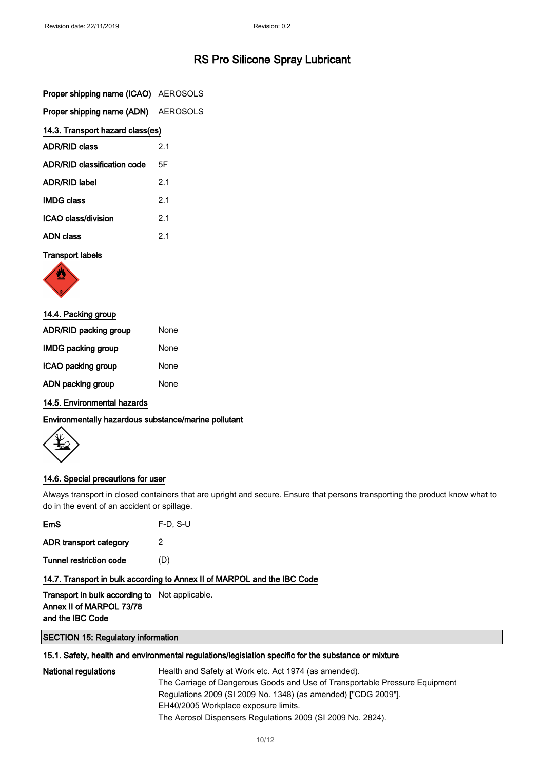|  |  |  |  | Proper shipping name (ICAO) AEROSOLS |
|--|--|--|--|--------------------------------------|
|--|--|--|--|--------------------------------------|

| Proper shipping name (ADN) AEROSOLS |  |
|-------------------------------------|--|
|-------------------------------------|--|

| 14.3. Transport hazard class(es) |     |  |
|----------------------------------|-----|--|
| <b>ADR/RID class</b>             | 2.1 |  |

| ADR/RID classification code | 5F  |
|-----------------------------|-----|
| <b>ADR/RID label</b>        | 21  |
| <b>IMDG class</b>           | 21  |
| ICAO class/division         | 21  |
| <b>ADN</b> class            | 2.1 |

#### Transport labels



| 14.4. Packing group          |      |
|------------------------------|------|
| <b>ADR/RID packing group</b> | None |
| <b>IMDG packing group</b>    | None |
| ICAO packing group           | None |
| ADN packing group            | None |
|                              |      |

14.5. Environmental hazards

Environmentally hazardous substance/marine pollutant



#### 14.6. Special precautions for user

Always transport in closed containers that are upright and secure. Ensure that persons transporting the product know what to do in the event of an accident or spillage.

| EmS                                                                                                   | $F-D. S-U$                                                               |
|-------------------------------------------------------------------------------------------------------|--------------------------------------------------------------------------|
| ADR transport category                                                                                | 2                                                                        |
| Tunnel restriction code                                                                               | (D)                                                                      |
|                                                                                                       | 14.7. Transport in bulk according to Annex II of MARPOL and the IBC Code |
| <b>Transport in bulk according to</b> Not applicable.<br>Annex II of MARPOL 73/78<br>and the IBC Code |                                                                          |

#### SECTION 15: Regulatory information

#### 15.1. Safety, health and environmental regulations/legislation specific for the substance or mixture

| National regulations | Health and Safety at Work etc. Act 1974 (as amended).                       |
|----------------------|-----------------------------------------------------------------------------|
|                      | The Carriage of Dangerous Goods and Use of Transportable Pressure Equipment |
|                      | Regulations 2009 (SI 2009 No. 1348) (as amended) ["CDG 2009"].              |
|                      | EH40/2005 Workplace exposure limits.                                        |
|                      | The Aerosol Dispensers Regulations 2009 (SI 2009 No. 2824).                 |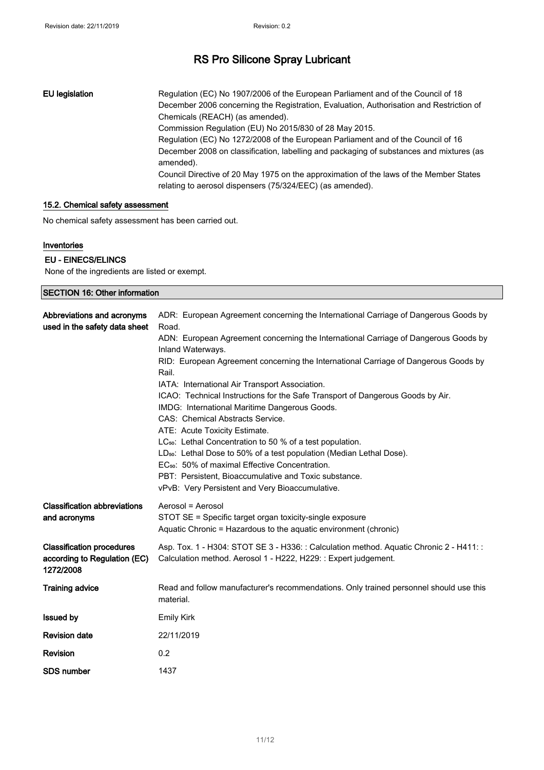EU legislation Regulation (EC) No 1907/2006 of the European Parliament and of the Council of 18 December 2006 concerning the Registration, Evaluation, Authorisation and Restriction of Chemicals (REACH) (as amended). Commission Regulation (EU) No 2015/830 of 28 May 2015. Regulation (EC) No 1272/2008 of the European Parliament and of the Council of 16 December 2008 on classification, labelling and packaging of substances and mixtures (as amended). Council Directive of 20 May 1975 on the approximation of the laws of the Member States relating to aerosol dispensers (75/324/EEC) (as amended).

#### 15.2. Chemical safety assessment

No chemical safety assessment has been carried out.

#### Inventories

#### EU - EINECS/ELINCS

None of the ingredients are listed or exempt.

| <b>SECTION 16: Other information</b>                                          |                                                                                                                                                                                                                                                                                                                                                                                                                                                                                                                                                                                               |  |
|-------------------------------------------------------------------------------|-----------------------------------------------------------------------------------------------------------------------------------------------------------------------------------------------------------------------------------------------------------------------------------------------------------------------------------------------------------------------------------------------------------------------------------------------------------------------------------------------------------------------------------------------------------------------------------------------|--|
| Abbreviations and acronyms<br>used in the safety data sheet                   | ADR: European Agreement concerning the International Carriage of Dangerous Goods by<br>Road.<br>ADN: European Agreement concerning the International Carriage of Dangerous Goods by<br>Inland Waterways.<br>RID: European Agreement concerning the International Carriage of Dangerous Goods by<br>Rail.                                                                                                                                                                                                                                                                                      |  |
|                                                                               | IATA: International Air Transport Association.<br>ICAO: Technical Instructions for the Safe Transport of Dangerous Goods by Air.<br>IMDG: International Maritime Dangerous Goods.<br>CAS: Chemical Abstracts Service.<br>ATE: Acute Toxicity Estimate.<br>LC <sub>50</sub> : Lethal Concentration to 50 % of a test population.<br>LD <sub>50</sub> : Lethal Dose to 50% of a test population (Median Lethal Dose).<br>EC <sub>50</sub> : 50% of maximal Effective Concentration.<br>PBT: Persistent, Bioaccumulative and Toxic substance.<br>vPvB: Very Persistent and Very Bioaccumulative. |  |
| <b>Classification abbreviations</b><br>and acronyms                           | Aerosol = Aerosol<br>STOT SE = Specific target organ toxicity-single exposure<br>Aquatic Chronic = Hazardous to the aquatic environment (chronic)                                                                                                                                                                                                                                                                                                                                                                                                                                             |  |
| <b>Classification procedures</b><br>according to Regulation (EC)<br>1272/2008 | Asp. Tox. 1 - H304: STOT SE 3 - H336: : Calculation method. Aquatic Chronic 2 - H411: :<br>Calculation method. Aerosol 1 - H222, H229: : Expert judgement.                                                                                                                                                                                                                                                                                                                                                                                                                                    |  |
| <b>Training advice</b>                                                        | Read and follow manufacturer's recommendations. Only trained personnel should use this<br>material.                                                                                                                                                                                                                                                                                                                                                                                                                                                                                           |  |
| <b>Issued by</b>                                                              | <b>Emily Kirk</b>                                                                                                                                                                                                                                                                                                                                                                                                                                                                                                                                                                             |  |
| <b>Revision date</b>                                                          | 22/11/2019                                                                                                                                                                                                                                                                                                                                                                                                                                                                                                                                                                                    |  |
| <b>Revision</b>                                                               | 0.2                                                                                                                                                                                                                                                                                                                                                                                                                                                                                                                                                                                           |  |
| <b>SDS number</b>                                                             | 1437                                                                                                                                                                                                                                                                                                                                                                                                                                                                                                                                                                                          |  |